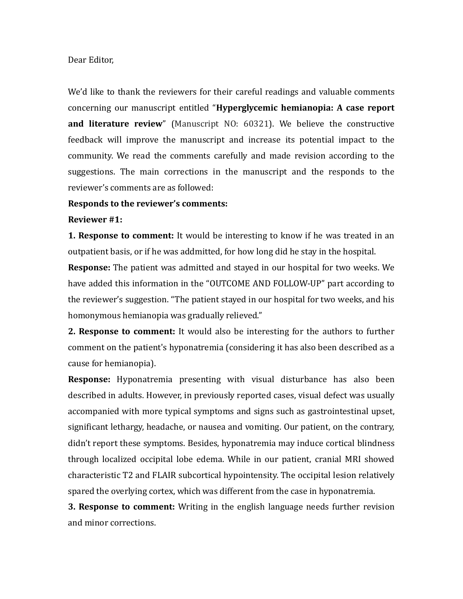## Dear Editor,

We'd like to thank the reviewers for their careful readings and valuable comments concerning our manuscript entitled "**Hyperglycemic hemianopia: A case report and literature review**" (Manuscript NO: 60321). We believe the constructive feedback will improve the manuscript and increase its potential impact to the community. We read the comments carefully and made revision according to the suggestions. The main corrections in the manuscript and the responds to the reviewer's comments are as followed:

## **Responds to the reviewer's comments:**

## **Reviewer #1:**

**1. Response to comment:** It would be interesting to know if he was treated in an outpatient basis, or if he was addmitted, for how long did he stay in the hospital.

**Response:** The patient was admitted and stayed in our hospital for two weeks. We have added this information in the "OUTCOME AND FOLLOW-UP" part according to the reviewer's suggestion. "The patient stayed in our hospital for two weeks, and his homonymous hemianopia was gradually relieved."

**2. Response to comment:** It would also be interesting for the authors to further comment on the patient's hyponatremia (considering it has also been described as a cause for hemianopia).

**Response:** Hyponatremia presenting with visual disturbance has also been described in adults. However, in previously reported cases, visual defect was usually accompanied with more typical symptoms and signs such as gastrointestinal upset, significant lethargy, headache, or nausea and vomiting. Our patient, on the contrary, didn't report these symptoms. Besides, hyponatremia may induce cortical blindness through localized occipital lobe edema. While in our patient, cranial MRI showed characteristic T2 and FLAIR subcortical hypointensity. The occipital lesion relatively spared the overlying cortex, which was different from the case in hyponatremia.

**3. Response to comment:** Writing in the english language needs further revision and minor corrections.